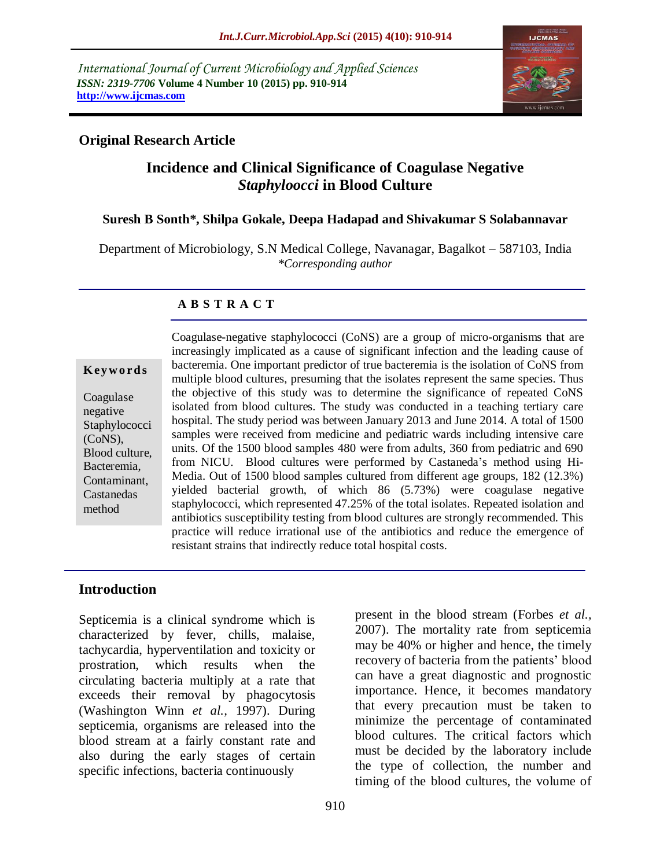*International Journal of Current Microbiology and Applied Sciences ISSN: 2319-7706* **Volume 4 Number 10 (2015) pp. 910-914 http://www.ijcmas.com** 



## **Original Research Article**

# **Incidence and Clinical Significance of Coagulase Negative**  *Staphyloocci* **in Blood Culture**

### **Suresh B Sonth\*, Shilpa Gokale, Deepa Hadapad and Shivakumar S Solabannavar**

Department of Microbiology, S.N Medical College, Navanagar, Bagalkot – 587103, India *\*Corresponding author*

### **A B S T R A C T**

#### **K ey w o rd s**

Coagulase negative **Staphylococci** (CoNS), Blood culture, Bacteremia, Contaminant, Castanedas method

Coagulase-negative staphylococci (CoNS) are a group of micro-organisms that are increasingly implicated as a cause of significant infection and the leading cause of bacteremia. One important predictor of true bacteremia is the isolation of CoNS from multiple blood cultures, presuming that the isolates represent the same species. Thus the objective of this study was to determine the significance of repeated CoNS isolated from blood cultures. The study was conducted in a teaching tertiary care hospital. The study period was between January 2013 and June 2014. A total of 1500 samples were received from medicine and pediatric wards including intensive care units. Of the 1500 blood samples 480 were from adults, 360 from pediatric and 690 from NICU. Blood cultures were performed by Castaneda's method using Hi-Media. Out of 1500 blood samples cultured from different age groups, 182 (12.3%) yielded bacterial growth, of which 86 (5.73%) were coagulase negative staphylococci, which represented 47.25% of the total isolates. Repeated isolation and antibiotics susceptibility testing from blood cultures are strongly recommended. This practice will reduce irrational use of the antibiotics and reduce the emergence of resistant strains that indirectly reduce total hospital costs.

### **Introduction**

Septicemia is a clinical syndrome which is characterized by fever, chills, malaise, tachycardia, hyperventilation and toxicity or prostration, which results when the circulating bacteria multiply at a rate that exceeds their removal by phagocytosis (Washington Winn *et al.,* 1997). During septicemia, organisms are released into the blood stream at a fairly constant rate and also during the early stages of certain specific infections, bacteria continuously

present in the blood stream (Forbes *et al.,* 2007). The mortality rate from septicemia may be 40% or higher and hence, the timely recovery of bacteria from the patients' blood can have a great diagnostic and prognostic importance. Hence, it becomes mandatory that every precaution must be taken to minimize the percentage of contaminated blood cultures. The critical factors which must be decided by the laboratory include the type of collection, the number and timing of the blood cultures, the volume of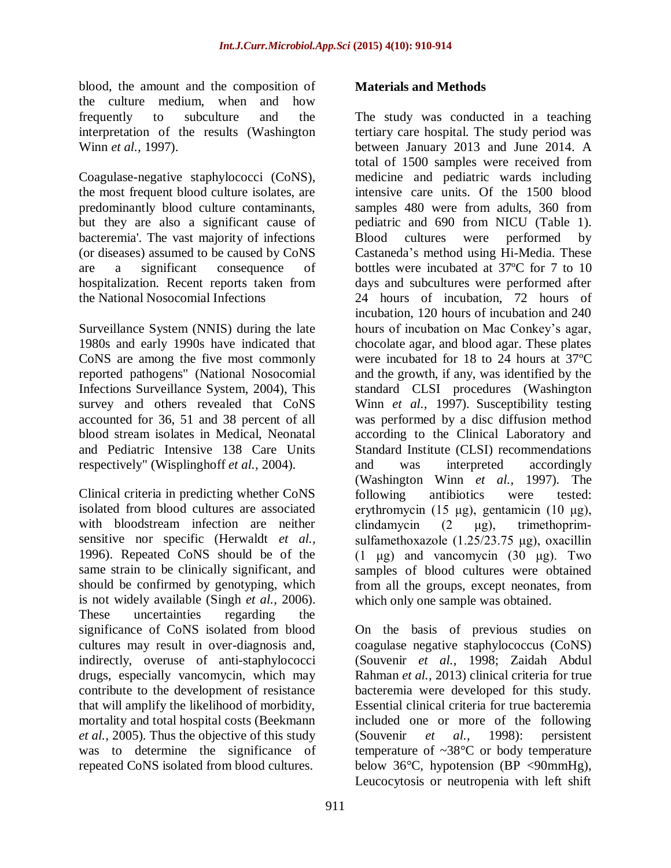blood, the amount and the composition of the culture medium, when and how frequently to subculture and the interpretation of the results (Washington Winn *et al.,* 1997).

Coagulase-negative staphylococci (CoNS), the most frequent blood culture isolates, are predominantly blood culture contaminants, but they are also a significant cause of bacteremia'. The vast majority of infections (or diseases) assumed to be caused by CoNS are a significant consequence of hospitalization. Recent reports taken from the National Nosocomial Infections

Surveillance System (NNIS) during the late 1980s and early 1990s have indicated that CoNS are among the five most commonly reported pathogens" (National Nosocomial Infections Surveillance System, 2004), This survey and others revealed that CoNS accounted for 36, 51 and 38 percent of all blood stream isolates in Medical, Neonatal and Pediatric Intensive 138 Care Units respectively" (Wisplinghoff *et al.,* 2004).

Clinical criteria in predicting whether CoNS isolated from blood cultures are associated with bloodstream infection are neither sensitive nor specific (Herwaldt *et al.,* 1996). Repeated CoNS should be of the same strain to be clinically significant, and should be confirmed by genotyping, which is not widely available (Singh *et al.,* 2006). These uncertainties regarding the significance of CoNS isolated from blood cultures may result in over-diagnosis and, indirectly, overuse of anti-staphylococci drugs, especially vancomycin, which may contribute to the development of resistance that will amplify the likelihood of morbidity, mortality and total hospital costs (Beekmann *et al.,* 2005). Thus the objective of this study was to determine the significance of repeated CoNS isolated from blood cultures.

# **Materials and Methods**

The study was conducted in a teaching tertiary care hospital. The study period was between January 2013 and June 2014. A total of 1500 samples were received from medicine and pediatric wards including intensive care units. Of the 1500 blood samples 480 were from adults, 360 from pediatric and 690 from NICU (Table 1). Blood cultures were performed by Castaneda's method using Hi-Media. These bottles were incubated at 37ºC for 7 to 10 days and subcultures were performed after 24 hours of incubation, 72 hours of incubation, 120 hours of incubation and 240 hours of incubation on Mac Conkey's agar, chocolate agar, and blood agar. These plates were incubated for 18 to 24 hours at 37ºC and the growth, if any, was identified by the standard CLSI procedures (Washington Winn *et al.*, 1997). Susceptibility testing was performed by a disc diffusion method according to the Clinical Laboratory and Standard Institute (CLSI) recommendations and was interpreted accordingly (Washington Winn *et al.,* 1997). The following antibiotics were tested: erythromycin (15 μg), gentamicin (10 μg), clindamycin (2 μg), trimethoprimsulfamethoxazole (1.25/23.75 μg), oxacillin  $(1 \text{ µg})$  and vancomycin  $(30 \text{ µg})$ . Two samples of blood cultures were obtained from all the groups, except neonates, from which only one sample was obtained.

On the basis of previous studies on coagulase negative staphylococcus (CoNS) (Souvenir *et al.,* 1998; Zaidah Abdul Rahman *et al.,* 2013) clinical criteria for true bacteremia were developed for this study. Essential clinical criteria for true bacteremia included one or more of the following (Souvenir *et al.,* 1998): persistent temperature of  $\sim 38^{\circ}$ C or body temperature below  $36^{\circ}$ C, hypotension (BP <90mmHg), Leucocytosis or neutropenia with left shift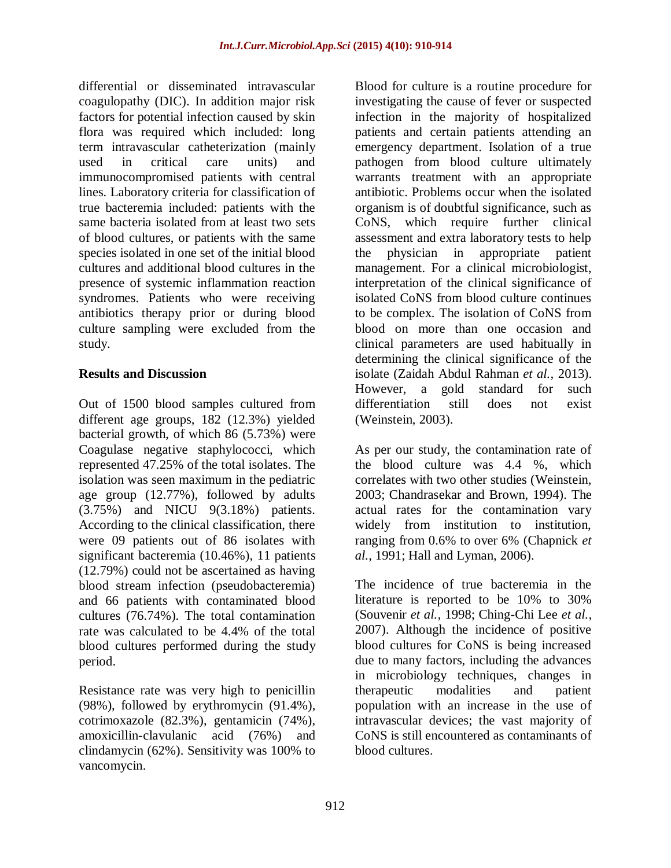differential or disseminated intravascular coagulopathy (DIC). In addition major risk factors for potential infection caused by skin flora was required which included: long term intravascular catheterization (mainly used in critical care units) and immunocompromised patients with central lines. Laboratory criteria for classification of true bacteremia included: patients with the same bacteria isolated from at least two sets of blood cultures, or patients with the same species isolated in one set of the initial blood cultures and additional blood cultures in the presence of systemic inflammation reaction syndromes. Patients who were receiving antibiotics therapy prior or during blood culture sampling were excluded from the study.

## **Results and Discussion**

Out of 1500 blood samples cultured from different age groups, 182 (12.3%) yielded bacterial growth, of which 86 (5.73%) were Coagulase negative staphylococci, which represented 47.25% of the total isolates. The isolation was seen maximum in the pediatric age group (12.77%), followed by adults (3.75%) and NICU 9(3.18%) patients. According to the clinical classification, there were 09 patients out of 86 isolates with significant bacteremia (10.46%), 11 patients (12.79%) could not be ascertained as having blood stream infection (pseudobacteremia) and 66 patients with contaminated blood cultures (76.74%). The total contamination rate was calculated to be 4.4% of the total blood cultures performed during the study period.

Resistance rate was very high to penicillin (98%), followed by erythromycin (91.4%), cotrimoxazole (82.3%), gentamicin (74%), amoxicillin-clavulanic acid (76%) and clindamycin (62%). Sensitivity was 100% to vancomycin.

Blood for culture is a routine procedure for investigating the cause of fever or suspected infection in the majority of hospitalized patients and certain patients attending an emergency department. Isolation of a true pathogen from blood culture ultimately warrants treatment with an appropriate antibiotic. Problems occur when the isolated organism is of doubtful significance, such as CoNS, which require further clinical assessment and extra laboratory tests to help the physician in appropriate patient management. For a clinical microbiologist, interpretation of the clinical significance of isolated CoNS from blood culture continues to be complex. The isolation of CoNS from blood on more than one occasion and clinical parameters are used habitually in determining the clinical significance of the isolate (Zaidah Abdul Rahman *et al.,* 2013). However, a gold standard for such differentiation still does not exist (Weinstein, 2003).

As per our study, the contamination rate of the blood culture was 4.4 %, which correlates with two other studies (Weinstein, 2003; Chandrasekar and Brown, 1994). The actual rates for the contamination vary widely from institution to institution, ranging from 0.6% to over 6% (Chapnick *et al.,* 1991; Hall and Lyman, 2006).

The incidence of true bacteremia in the literature is reported to be 10% to 30% (Souvenir *et al.,* 1998; Ching-Chi Lee *et al.,* 2007). Although the incidence of positive blood cultures for CoNS is being increased due to many factors, including the advances in microbiology techniques, changes in therapeutic modalities and patient population with an increase in the use of intravascular devices; the vast majority of CoNS is still encountered as contaminants of blood cultures.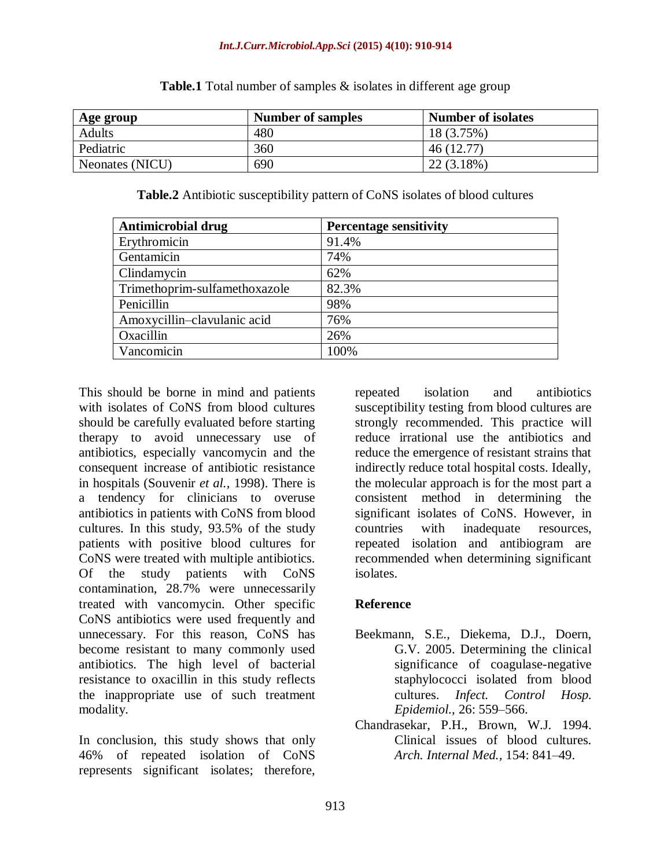| Age group       | <b>Number of samples</b> | <b>Number of isolates</b> |
|-----------------|--------------------------|---------------------------|
| <b>Adults</b>   | 480                      | 18 (3.75%)                |
| Pediatric       | 360                      | 46 (12.77)                |
| Neonates (NICU) | 690                      | 22 (3.18%)                |

**Table.1** Total number of samples & isolates in different age group

**Table.2** Antibiotic susceptibility pattern of CoNS isolates of blood cultures

| <b>Antimicrobial drug</b>     | <b>Percentage sensitivity</b> |
|-------------------------------|-------------------------------|
| Erythromicin                  | 91.4%                         |
| Gentamicin                    | 74%                           |
| Clindamycin                   | 62%                           |
| Trimethoprim-sulfamethoxazole | 82.3%                         |
| Penicillin                    | 98%                           |
| Amoxycillin-clavulanic acid   | 76%                           |
| Oxacillin                     | 26%                           |
| Vancomicin                    | 100%                          |

This should be borne in mind and patients with isolates of CoNS from blood cultures should be carefully evaluated before starting therapy to avoid unnecessary use of antibiotics, especially vancomycin and the consequent increase of antibiotic resistance in hospitals (Souvenir *et al.,* 1998). There is a tendency for clinicians to overuse antibiotics in patients with CoNS from blood cultures. In this study, 93.5% of the study patients with positive blood cultures for CoNS were treated with multiple antibiotics. Of the study patients with CoNS contamination, 28.7% were unnecessarily treated with vancomycin. Other specific CoNS antibiotics were used frequently and unnecessary. For this reason, CoNS has become resistant to many commonly used antibiotics. The high level of bacterial resistance to oxacillin in this study reflects the inappropriate use of such treatment modality.

In conclusion, this study shows that only 46% of repeated isolation of CoNS represents significant isolates; therefore,

repeated isolation and antibiotics susceptibility testing from blood cultures are strongly recommended. This practice will reduce irrational use the antibiotics and reduce the emergence of resistant strains that indirectly reduce total hospital costs. Ideally, the molecular approach is for the most part a consistent method in determining the significant isolates of CoNS. However, in countries with inadequate resources, repeated isolation and antibiogram are recommended when determining significant isolates.

# **Reference**

- Beekmann, S.E., Diekema, D.J., Doern, G.V. 2005. Determining the clinical significance of coagulase-negative staphylococci isolated from blood cultures. *Infect. Control Hosp. Epidemiol.,* 26: 559–566.
- Chandrasekar, P.H., Brown, W.J. 1994. Clinical issues of blood cultures. *Arch. Internal Med.,* 154: 841–49.